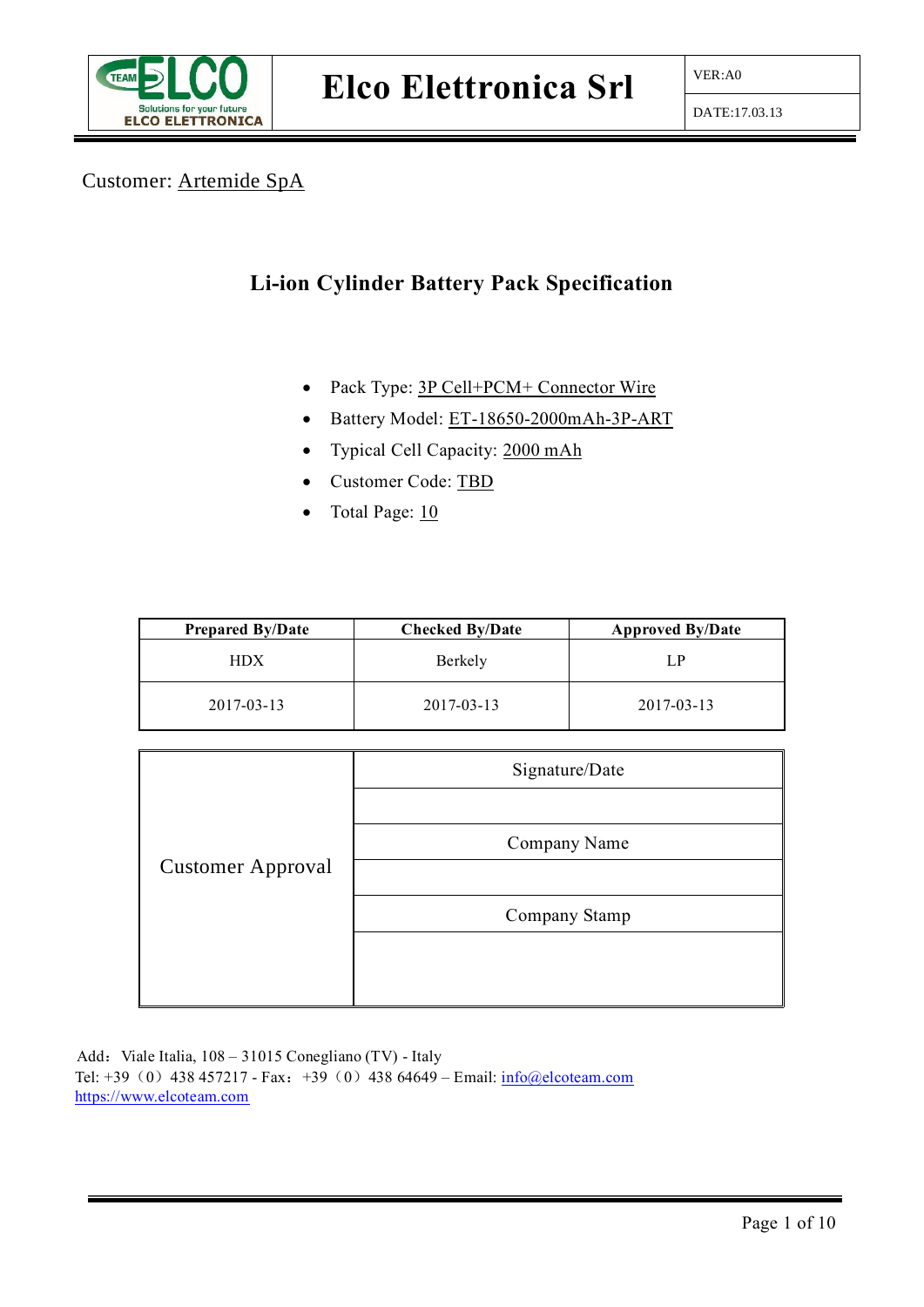

#### Customer: Artemide SpA

## **Li-ion Cylinder Battery Pack Specification**

- Pack Type: 3P Cell+PCM+ Connector Wire
- Battery Model: ET-18650-2000mAh-3P-ART
- Typical Cell Capacity: 2000 mAh
- Customer Code: TBD
- Total Page: 10

| <b>Prepared By/Date</b> | <b>Checked By/Date</b> | <b>Approved By/Date</b> |
|-------------------------|------------------------|-------------------------|
| <b>HDX</b>              | Berkely                | LP                      |
| 2017-03-13              | 2017-03-13             | 2017-03-13              |

|                          | Signature/Date |
|--------------------------|----------------|
|                          |                |
|                          | Company Name   |
| <b>Customer Approval</b> |                |
|                          | Company Stamp  |
|                          |                |
|                          |                |

Add: Viale Italia, 108 – 31015 Conegliano (TV) - Italy Tel: +39 (0) 438 457217 - Fax: +39 (0) 438 64649 – Email:  $\frac{\text{info@electeam.com}}{\text{info@electeam.com}}$ [https://www.elcoteam.com](https://www.elcoteam.com/)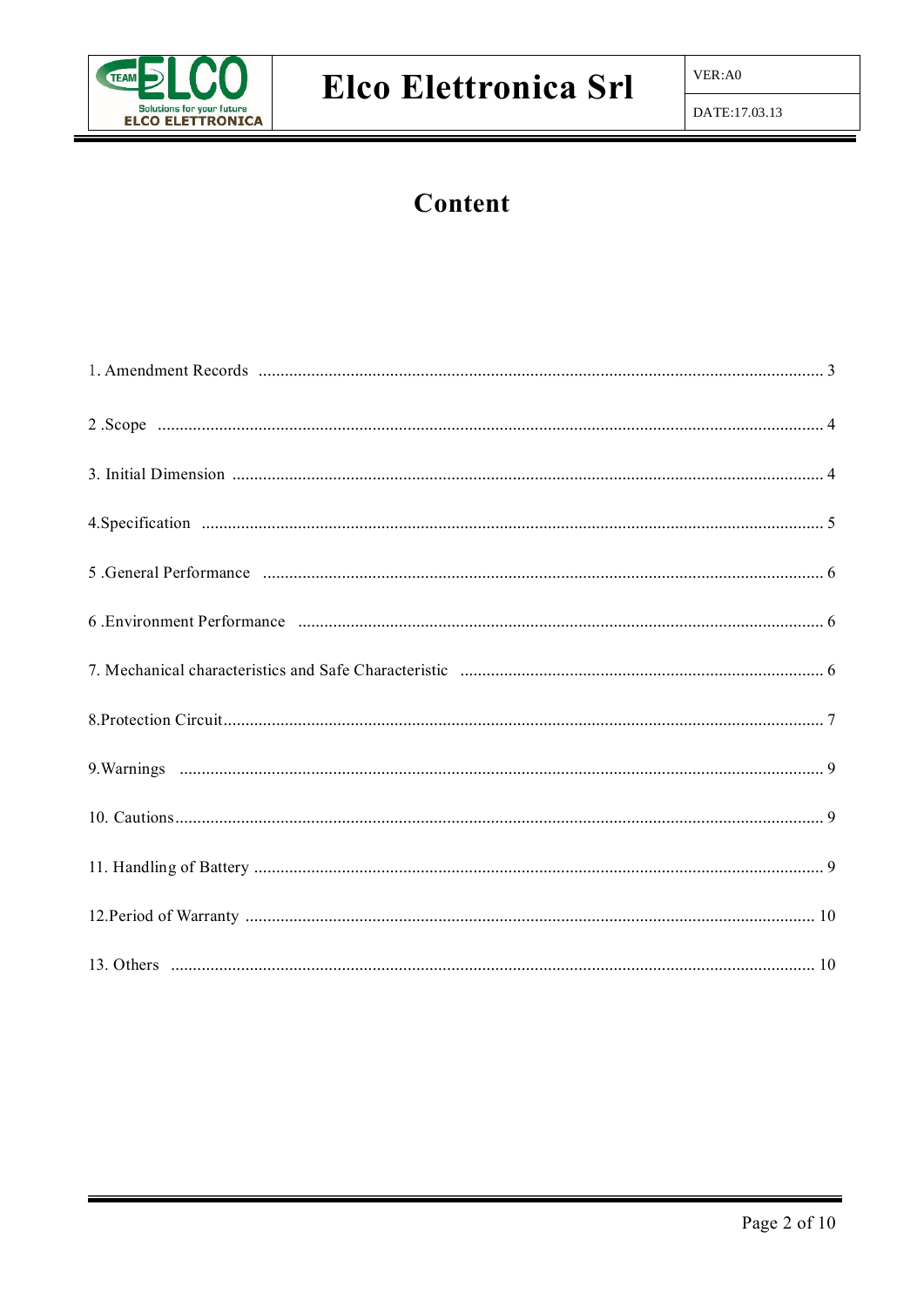

## Content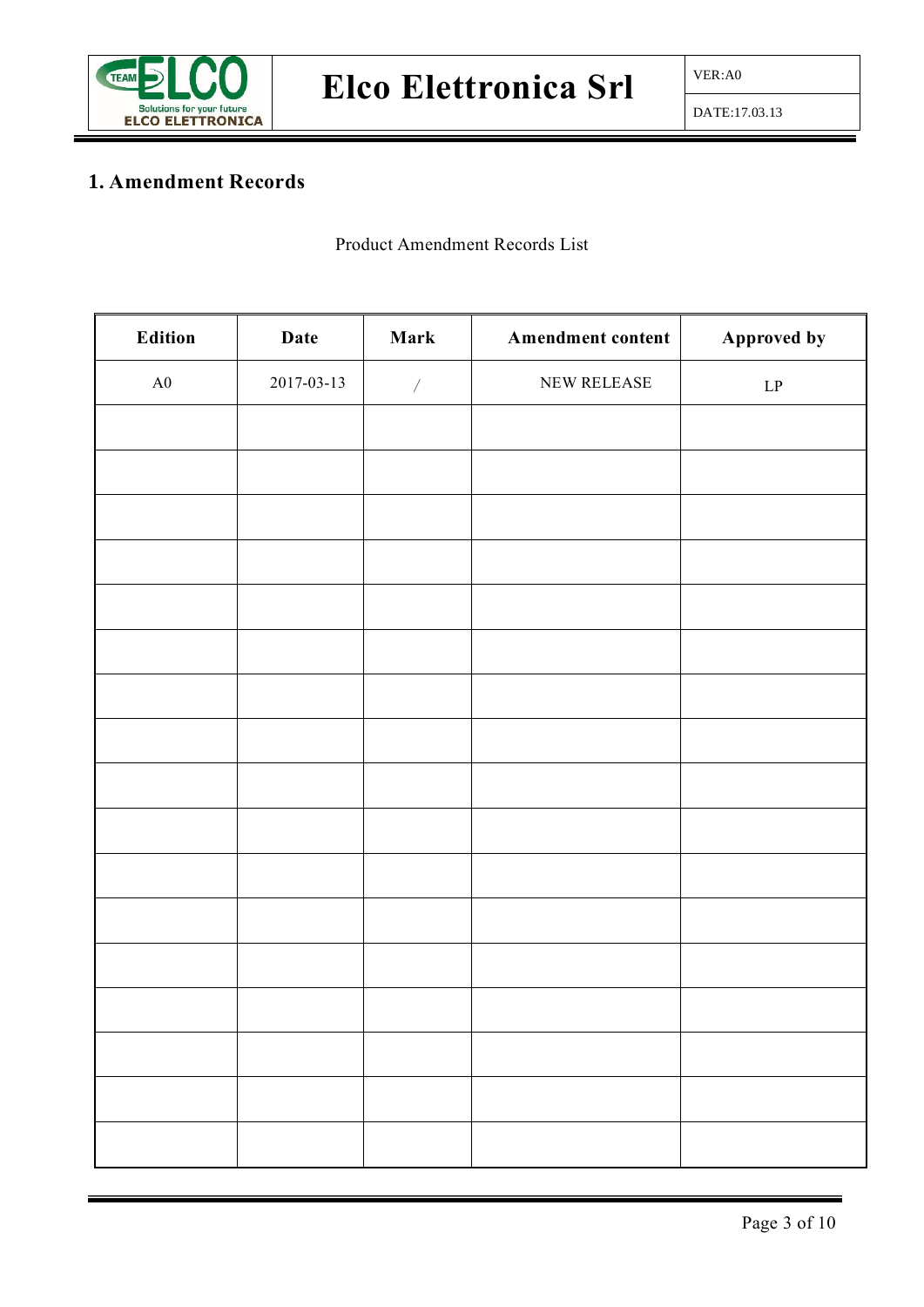

## **1. Amendment Records**

Product Amendment Records List

| Edition    | Date       | Mark                     | Amendment content | Approved by                |
|------------|------------|--------------------------|-------------------|----------------------------|
| ${\rm A}0$ | 2017-03-13 | $\overline{\phantom{a}}$ | NEW RELEASE       | $\ensuremath{\mathrm{LP}}$ |
|            |            |                          |                   |                            |
|            |            |                          |                   |                            |
|            |            |                          |                   |                            |
|            |            |                          |                   |                            |
|            |            |                          |                   |                            |
|            |            |                          |                   |                            |
|            |            |                          |                   |                            |
|            |            |                          |                   |                            |
|            |            |                          |                   |                            |
|            |            |                          |                   |                            |
|            |            |                          |                   |                            |
|            |            |                          |                   |                            |
|            |            |                          |                   |                            |
|            |            |                          |                   |                            |
|            |            |                          |                   |                            |
|            |            |                          |                   |                            |
|            |            |                          |                   |                            |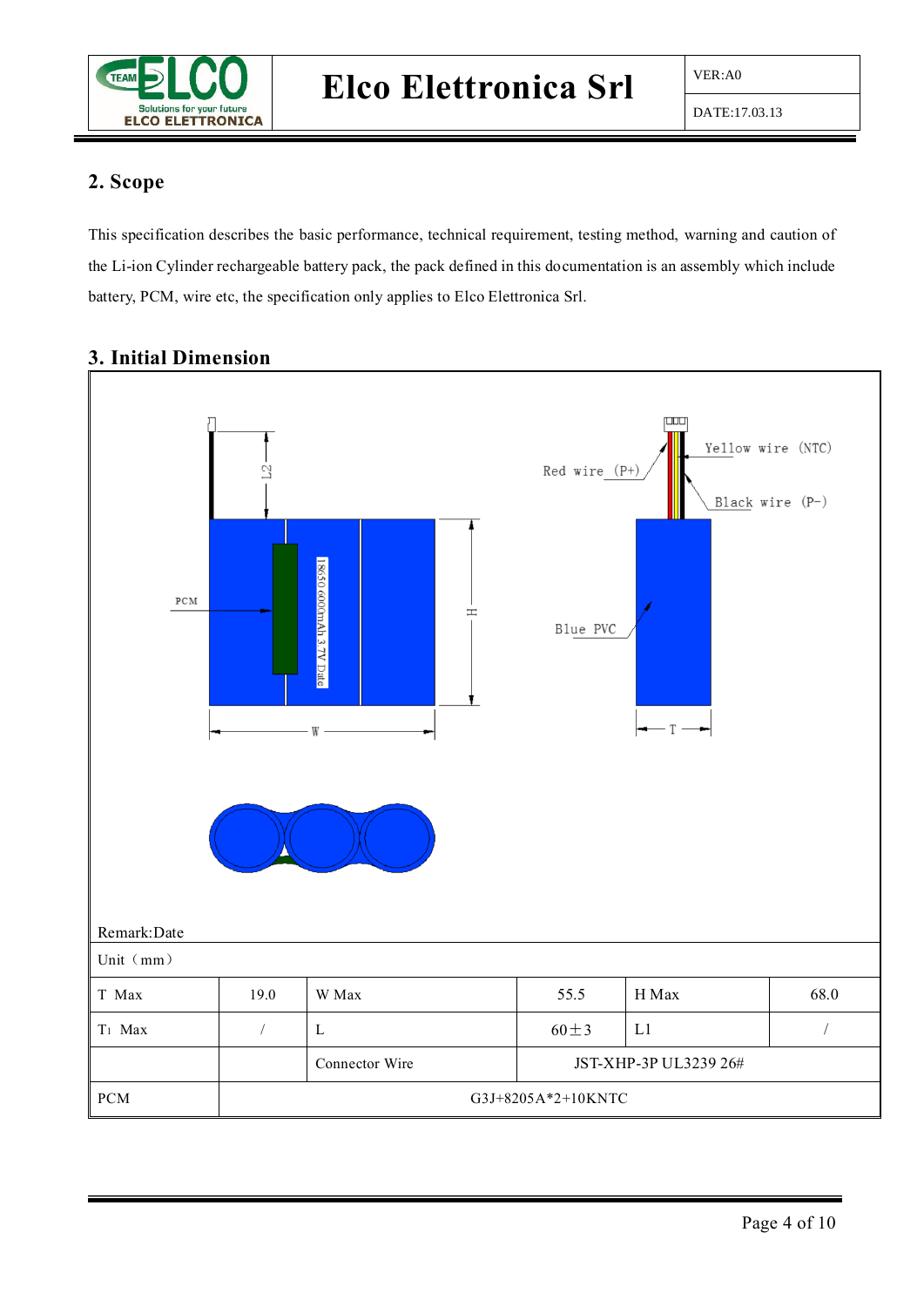

#### **2. Scope**

This specification describes the basic performance, technical requirement, testing method, warning and caution of the Li-ion Cylinder rechargeable battery pack, the pack defined in this documentation is an assembly which include battery, PCM, wire etc, the specification only applies to Elco Elettronica Srl.



#### **3. Initial Dimension**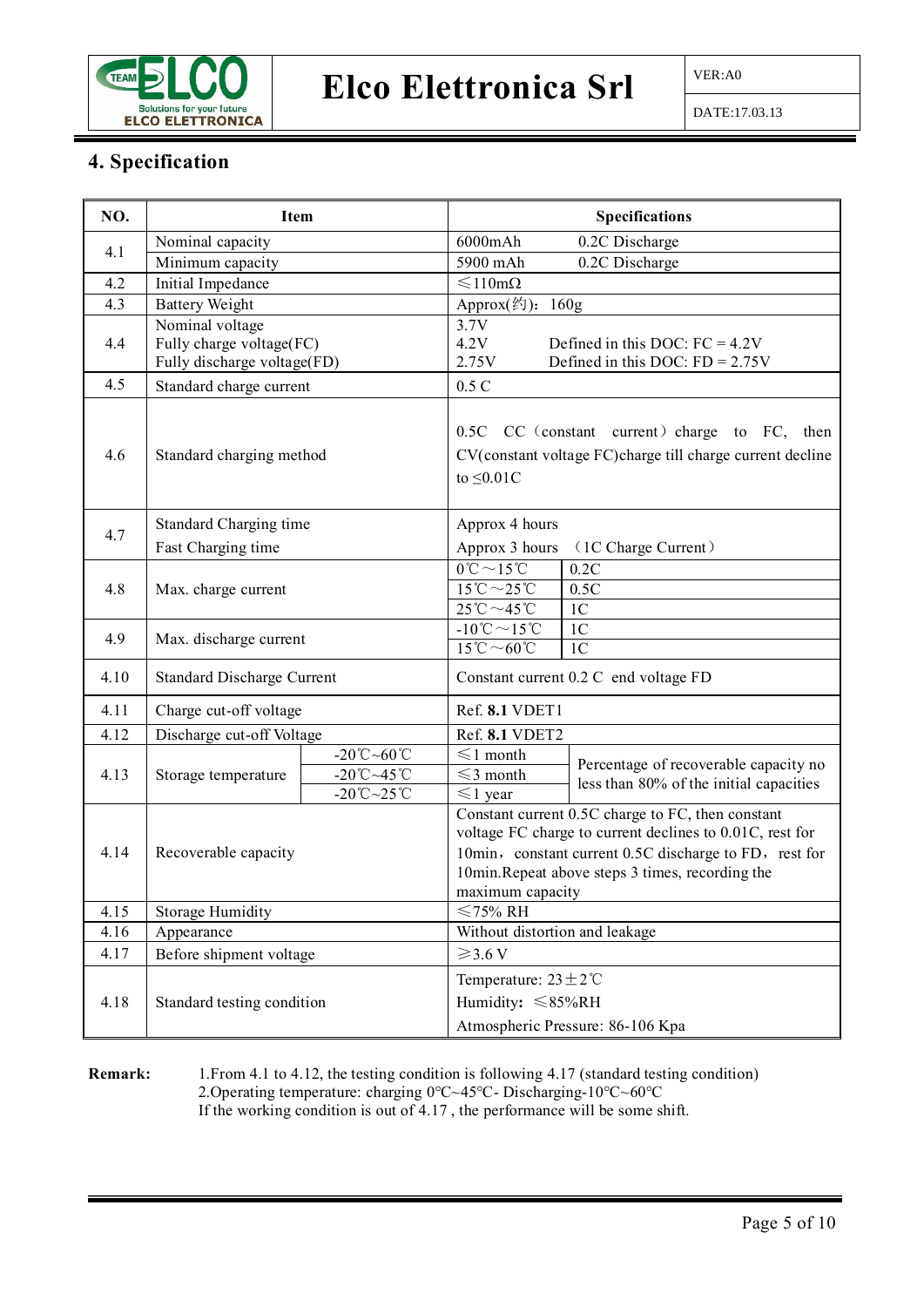

## Elco Elettronica Srl  $\frac{\sqrt{VER:AO}}{P}$

#### **4. Specification**

| NO.  | Item                                                                       |                                                                                                                                   | <b>Specifications</b>                                                                                                                                                                                                                          |  |
|------|----------------------------------------------------------------------------|-----------------------------------------------------------------------------------------------------------------------------------|------------------------------------------------------------------------------------------------------------------------------------------------------------------------------------------------------------------------------------------------|--|
|      | Nominal capacity                                                           |                                                                                                                                   | $6000$ mAh<br>0.2C Discharge                                                                                                                                                                                                                   |  |
| 4.1  | Minimum capacity                                                           |                                                                                                                                   | 5900 mAh<br>0.2C Discharge                                                                                                                                                                                                                     |  |
| 4.2  | Initial Impedance                                                          |                                                                                                                                   | ≤110mΩ                                                                                                                                                                                                                                         |  |
| 4.3  | <b>Battery Weight</b>                                                      |                                                                                                                                   | Approx(约): 160g                                                                                                                                                                                                                                |  |
| 4.4  | Nominal voltage<br>Fully charge voltage(FC)<br>Fully discharge voltage(FD) |                                                                                                                                   | 3.7V<br>4.2V<br>Defined in this DOC: $FC = 4.2V$<br>Defined in this DOC: $FD = 2.75V$<br>2.75V                                                                                                                                                 |  |
| 4.5  | Standard charge current                                                    |                                                                                                                                   | $0.5\ {\rm C}$                                                                                                                                                                                                                                 |  |
| 4.6  | Standard charging method                                                   |                                                                                                                                   | 0.5C CC (constant current) charge to FC, then<br>CV(constant voltage FC)charge till charge current decline<br>to $\leq 0.01C$                                                                                                                  |  |
|      | Standard Charging time                                                     |                                                                                                                                   | Approx 4 hours                                                                                                                                                                                                                                 |  |
| 4.7  | Fast Charging time                                                         |                                                                                                                                   | Approx 3 hours<br>(1C Charge Current)                                                                                                                                                                                                          |  |
| 4.8  | Max. charge current                                                        |                                                                                                                                   | $0^\circ \text{C} \sim 15^\circ \text{C}$<br>0.2C<br>$15^{\circ}\text{C} \sim 25^{\circ}\text{C}$<br>0.5C<br>$25^{\circ}\text{C} \sim 45^{\circ}\text{C}$<br>1 <sub>C</sub>                                                                    |  |
| 4.9  | Max. discharge current                                                     |                                                                                                                                   | -10°C $\sim$ 15°C<br>1 <sub>C</sub><br>$15^{\circ}$ C ~60 $^{\circ}$ C<br>1 <sub>C</sub>                                                                                                                                                       |  |
| 4.10 | <b>Standard Discharge Current</b>                                          |                                                                                                                                   | Constant current 0.2 C end voltage FD                                                                                                                                                                                                          |  |
| 4.11 | Charge cut-off voltage                                                     |                                                                                                                                   | Ref. 8.1 VDET1                                                                                                                                                                                                                                 |  |
| 4.12 | Discharge cut-off Voltage                                                  |                                                                                                                                   | Ref. 8.1 VDET2                                                                                                                                                                                                                                 |  |
| 4.13 | Storage temperature                                                        | $-20^{\circ}\text{C} \sim 60^{\circ}\text{C}$<br>$-20^{\circ}\text{C} \sim 45^{\circ}\text{C}$<br>$-20^{\circ}$ C $-25^{\circ}$ C | $\leq 1$ month<br>Percentage of recoverable capacity no<br>$\leq$ 3 month<br>less than 80% of the initial capacities<br>$\leq 1$ year                                                                                                          |  |
| 4.14 | Recoverable capacity                                                       |                                                                                                                                   | Constant current 0.5C charge to FC, then constant<br>voltage FC charge to current declines to 0.01C, rest for<br>10min, constant current 0.5C discharge to FD, rest for<br>10min.Repeat above steps 3 times, recording the<br>maximum capacity |  |
| 4.15 | <b>Storage Humidity</b>                                                    |                                                                                                                                   | $≤75%$ RH                                                                                                                                                                                                                                      |  |
| 4.16 | Appearance                                                                 |                                                                                                                                   | Without distortion and leakage                                                                                                                                                                                                                 |  |
| 4.17 | Before shipment voltage                                                    |                                                                                                                                   | $\geqslant$ 3.6 V                                                                                                                                                                                                                              |  |
|      |                                                                            |                                                                                                                                   | Temperature: $23 \pm 2^{\circ}$ C                                                                                                                                                                                                              |  |
| 4.18 | Standard testing condition                                                 |                                                                                                                                   | Humidity: $\leq 85\%RH$                                                                                                                                                                                                                        |  |
|      |                                                                            |                                                                                                                                   | Atmospheric Pressure: 86-106 Kpa                                                                                                                                                                                                               |  |

**Remark:** 1.From 4.1 to 4.12, the testing condition is following 4.17 (standard testing condition) 2.Operating temperature: charging 0℃~45℃- Discharging-10℃~60℃ If the working condition is out of 4.17 , the performance will be some shift.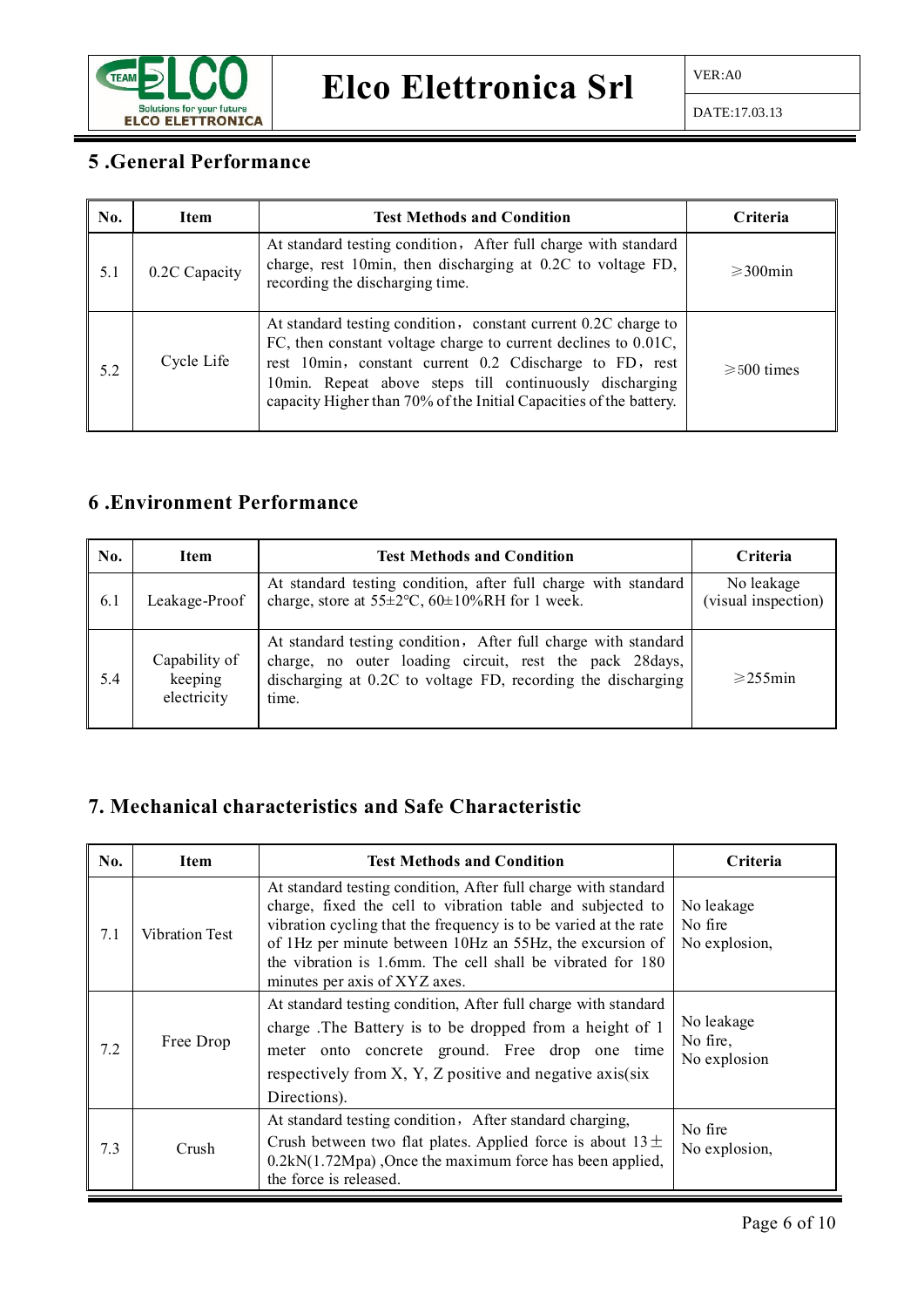

#### **5 .General Performance**

| No. | <b>Item</b>   | <b>Test Methods and Condition</b>                                                                                                                                                                                                                                                                                            | <b>Criteria</b>       |
|-----|---------------|------------------------------------------------------------------------------------------------------------------------------------------------------------------------------------------------------------------------------------------------------------------------------------------------------------------------------|-----------------------|
| 5.1 | 0.2C Capacity | At standard testing condition, After full charge with standard<br>charge, rest 10min, then discharging at 0.2C to voltage FD,<br>recording the discharging time.                                                                                                                                                             | $\geqslant$ 300 min   |
| 5.2 | Cycle Life    | At standard testing condition, constant current 0.2C charge to<br>FC, then constant voltage charge to current declines to 0.01C,<br>rest 10min, constant current 0.2 Cdischarge to FD, rest<br>10min. Repeat above steps till continuously discharging<br>capacity Higher than 70% of the Initial Capacities of the battery. | $\geqslant 500$ times |

### **6 .Environment Performance**

| No. | <b>Item</b>                             | <b>Test Methods and Condition</b>                                                                                                                                                                  | Criteria                          |
|-----|-----------------------------------------|----------------------------------------------------------------------------------------------------------------------------------------------------------------------------------------------------|-----------------------------------|
| 6.1 | Leakage-Proof                           | At standard testing condition, after full charge with standard<br>charge, store at $55\pm2$ °C, $60\pm10\%$ RH for 1 week.                                                                         | No leakage<br>(visual inspection) |
| 5.4 | Capability of<br>keeping<br>electricity | At standard testing condition, After full charge with standard<br>charge, no outer loading circuit, rest the pack 28days,<br>discharging at 0.2C to voltage FD, recording the discharging<br>time. | $\geqslant$ 255 min               |

### **7. Mechanical characteristics and Safe Characteristic**

| No. | <b>Item</b>                                                                                                                                                                                                                                                          | <b>Test Methods and Condition</b>                                                                                                                                                                                                                                                                                                                           | Criteria                               |
|-----|----------------------------------------------------------------------------------------------------------------------------------------------------------------------------------------------------------------------------------------------------------------------|-------------------------------------------------------------------------------------------------------------------------------------------------------------------------------------------------------------------------------------------------------------------------------------------------------------------------------------------------------------|----------------------------------------|
| 7.1 | <b>Vibration Test</b>                                                                                                                                                                                                                                                | At standard testing condition, After full charge with standard<br>charge, fixed the cell to vibration table and subjected to<br>vibration cycling that the frequency is to be varied at the rate<br>of 1Hz per minute between 10Hz an 55Hz, the excursion of<br>the vibration is 1.6mm. The cell shall be vibrated for 180<br>minutes per axis of XYZ axes. | No leakage<br>No fire<br>No explosion, |
| 7.2 | At standard testing condition, After full charge with standard<br>charge. The Battery is to be dropped from a height of 1<br>Free Drop<br>meter onto concrete ground. Free drop one time<br>respectively from X, Y, Z positive and negative axis(six<br>Directions). |                                                                                                                                                                                                                                                                                                                                                             | No leakage<br>No fire,<br>No explosion |
| 7.3 | Crush                                                                                                                                                                                                                                                                | At standard testing condition, After standard charging,<br>Crush between two flat plates. Applied force is about $13 \pm$<br>$0.2kN(1.72Mpa)$ , Once the maximum force has been applied,<br>the force is released.                                                                                                                                          | No fire<br>No explosion,               |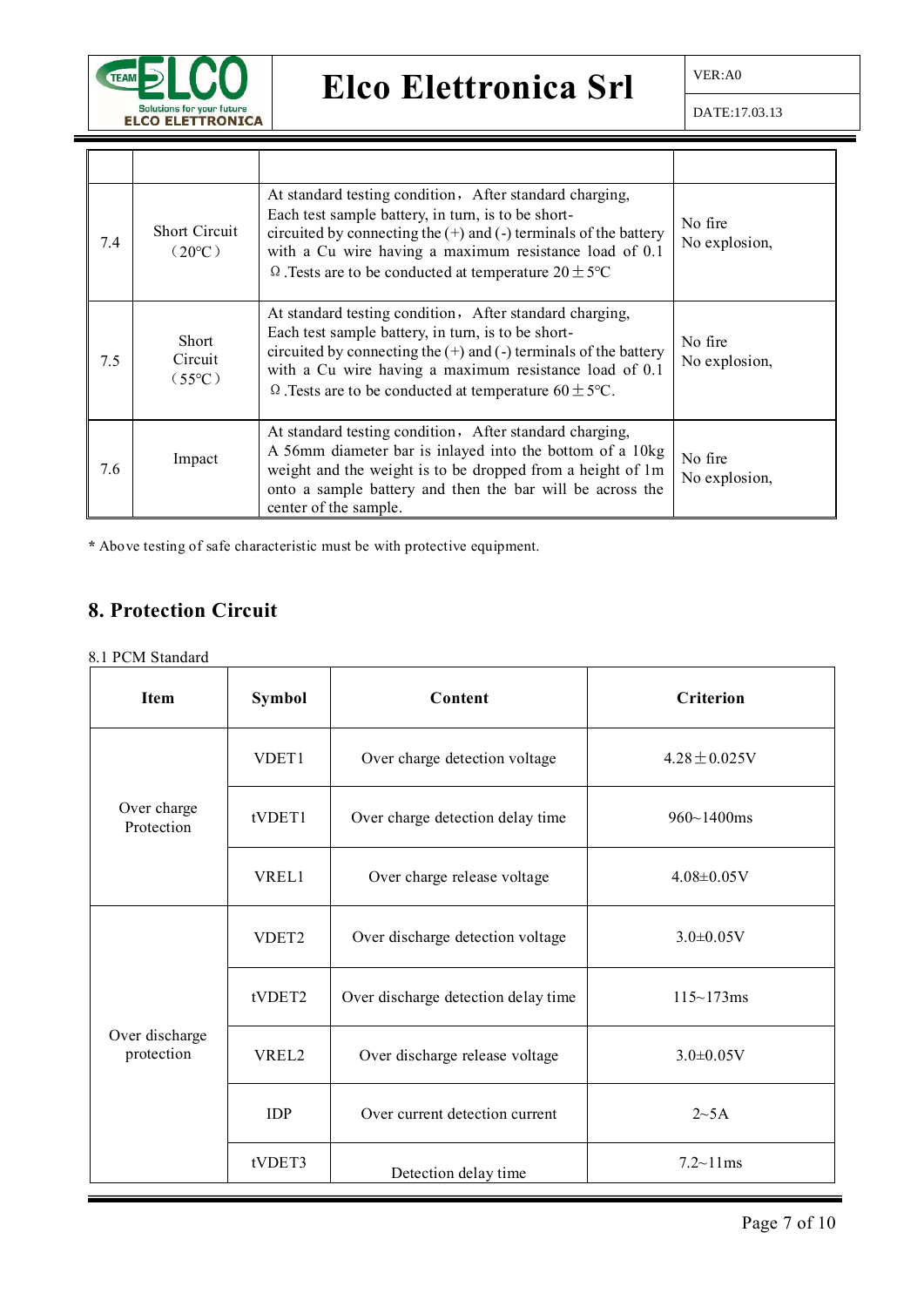

|     |                                         | At standard testing condition, After standard charging,                                                                                                                                                                                                                                                           |                          |
|-----|-----------------------------------------|-------------------------------------------------------------------------------------------------------------------------------------------------------------------------------------------------------------------------------------------------------------------------------------------------------------------|--------------------------|
| 7.4 | <b>Short Circuit</b><br>$(20^{\circ}C)$ | Each test sample battery, in turn, is to be short-<br>circuited by connecting the $(+)$ and $(-)$ terminals of the battery<br>with a Cu wire having a maximum resistance load of 0.1<br>$\Omega$ . Tests are to be conducted at temperature $20 \pm 5^{\circ}$ C                                                  | No fire<br>No explosion, |
| 7.5 | Short<br>Circuit<br>$(55^{\circ}C)$     | At standard testing condition, After standard charging,<br>Each test sample battery, in turn, is to be short-<br>circuited by connecting the $(+)$ and $(-)$ terminals of the battery<br>with a Cu wire having a maximum resistance load of 0.1<br>$\Omega$ . Tests are to be conducted at temperature 60 ± 5 °C. | No fire<br>No explosion, |
| 7.6 | Impact                                  | At standard testing condition, After standard charging,<br>A 56mm diameter bar is inlayed into the bottom of a 10kg<br>weight and the weight is to be dropped from a height of 1m<br>onto a sample battery and then the bar will be across the<br>center of the sample.                                           | No fire<br>No explosion, |

**\*** Above testing of safe characteristic must be with protective equipment.

## **8. Protection Circuit**

8.1 PCM Standard

| Item                         | Symbol            | Content                             | <b>Criterion</b>          |
|------------------------------|-------------------|-------------------------------------|---------------------------|
|                              | VDET <sub>1</sub> | Over charge detection voltage       | $4.28 \pm 0.025V$         |
| Over charge<br>Protection    | tVDET1            | Over charge detection delay time    | $960 - 1400$ ms           |
|                              | VREL1             | Over charge release voltage         | $4.08 \pm 0.05$ V         |
|                              | VDET <sub>2</sub> | Over discharge detection voltage    | $3.0\pm0.05V$             |
|                              | tVDET2            | Over discharge detection delay time | $115 \sim 173 \text{ms}$  |
| Over discharge<br>protection | VREL2             | Over discharge release voltage      | $3.0 \pm 0.05 V$          |
|                              | <b>IDP</b>        | Over current detection current      | 2~5A                      |
|                              | tVDET3            | Detection delay time                | $7.2 \sim 11 \,\text{ms}$ |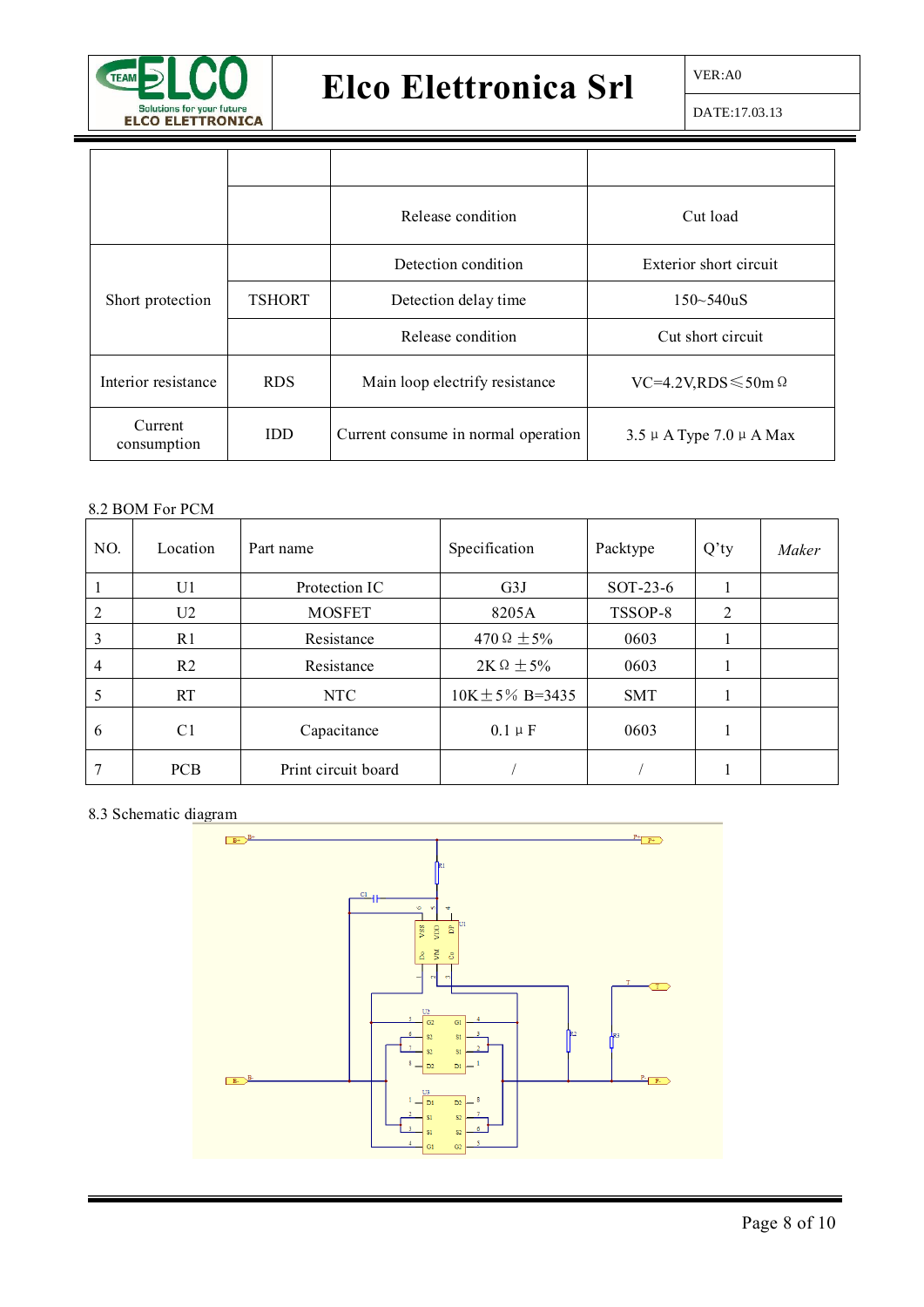

DATE:17.03.13

|                        |               | Release condition                   | Cut load                         |
|------------------------|---------------|-------------------------------------|----------------------------------|
|                        |               | Detection condition                 | Exterior short circuit           |
| Short protection       | <b>TSHORT</b> | Detection delay time                | $150 - 540uS$                    |
|                        |               | Release condition                   | Cut short circuit                |
| Interior resistance    | <b>RDS</b>    | Main loop electrify resistance      | $VC=4.2V,RDS \leq 50m \Omega$    |
| Current<br>consumption | <b>IDD</b>    | Current consume in normal operation | $3.5 \mu$ A Type 7.0 $\mu$ A Max |

#### 8.2 BOM For PCM

| NO.            | Location       | Part name           | Specification        | Packtype   | $Q'$ ty | Maker |
|----------------|----------------|---------------------|----------------------|------------|---------|-------|
|                | U1             | Protection IC       | G3J                  | $SOT-23-6$ |         |       |
| $\mathfrak{D}$ | U2             | <b>MOSFET</b>       | 8205A                | TSSOP-8    | 2       |       |
| 3              | R1             | Resistance          | 470 $\Omega \pm 5\%$ | 0603       |         |       |
| 4              | R <sub>2</sub> | Resistance          | $2K\Omega \pm 5\%$   | 0603       |         |       |
|                | RT             | NTC                 | $10K \pm 5\%$ B=3435 | <b>SMT</b> |         |       |
| 6              | C1             | Capacitance         | $0.1 \mu F$          | 0603       |         |       |
|                | <b>PCB</b>     | Print circuit board |                      |            |         |       |

#### 8.3 Schematic diagram

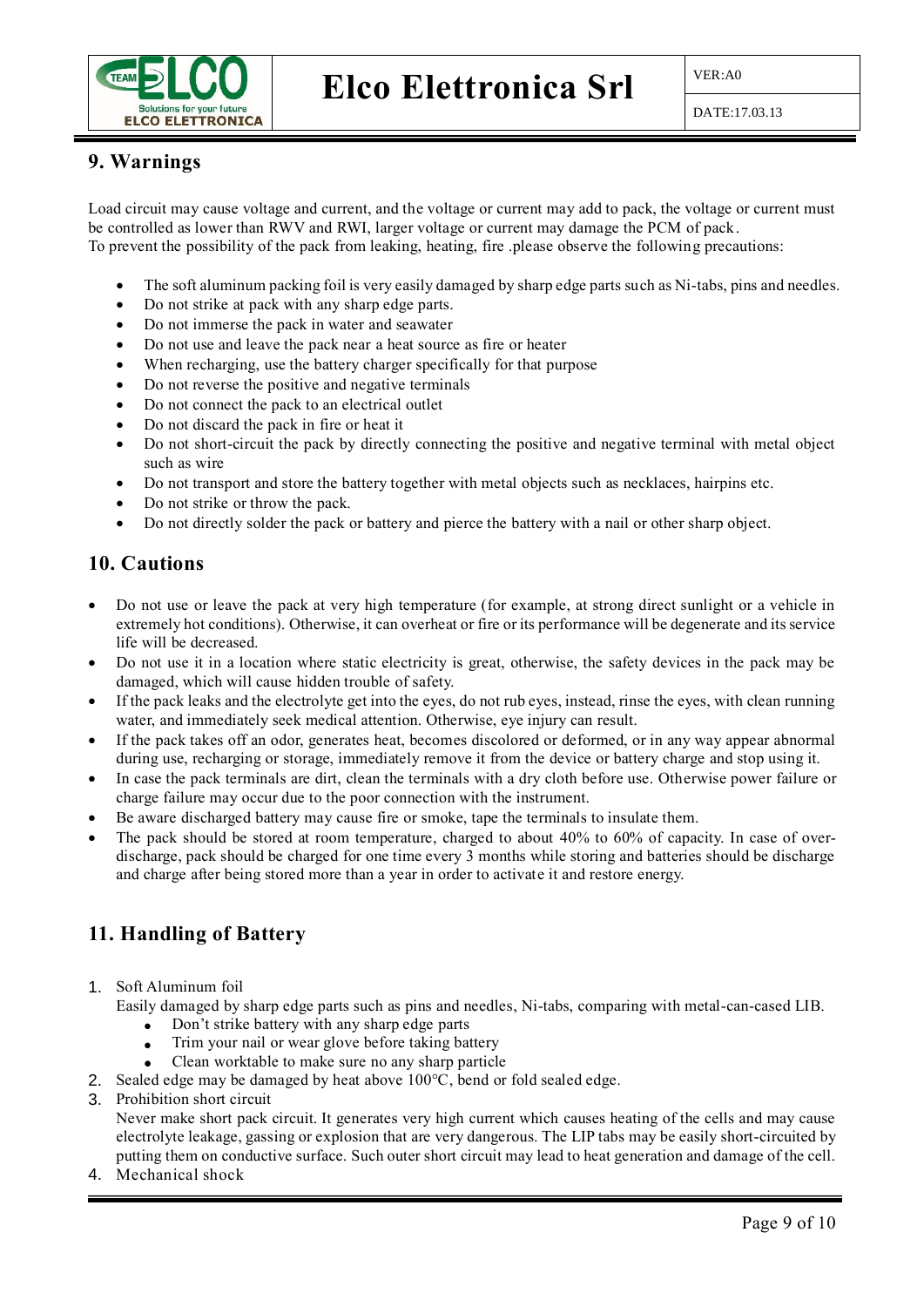

#### **9. Warnings**

Load circuit may cause voltage and current, and the voltage or current may add to pack, the voltage or current must be controlled as lower than RWV and RWI, larger voltage or current may damage the PCM of pack. To prevent the possibility of the pack from leaking, heating, fire .please observe the following precautions:

- The soft aluminum packing foil is very easily damaged by sharp edge parts such as Ni-tabs, pins and needles.
- Do not strike at pack with any sharp edge parts.
- Do not immerse the pack in water and seawater
- Do not use and leave the pack near a heat source as fire or heater
- When recharging, use the battery charger specifically for that purpose
- Do not reverse the positive and negative terminals
- Do not connect the pack to an electrical outlet
- Do not discard the pack in fire or heat it
- Do not short-circuit the pack by directly connecting the positive and negative terminal with metal object such as wire
- Do not transport and store the battery together with metal objects such as necklaces, hairpins etc.
- Do not strike or throw the pack.
- Do not directly solder the pack or battery and pierce the battery with a nail or other sharp object.

#### **10. Cautions**

- Do not use or leave the pack at very high temperature (for example, at strong direct sunlight or a vehicle in extremely hot conditions). Otherwise, it can overheat or fire or its performance will be degenerate and its service life will be decreased.
- Do not use it in a location where static electricity is great, otherwise, the safety devices in the pack may be damaged, which will cause hidden trouble of safety.
- If the pack leaks and the electrolyte get into the eyes, do not rub eyes, instead, rinse the eyes, with clean running water, and immediately seek medical attention. Otherwise, eye injury can result.
- If the pack takes off an odor, generates heat, becomes discolored or deformed, or in any way appear abnormal during use, recharging or storage, immediately remove it from the device or battery charge and stop using it.
- In case the pack terminals are dirt, clean the terminals with a dry cloth before use. Otherwise power failure or charge failure may occur due to the poor connection with the instrument.
- Be aware discharged battery may cause fire or smoke, tape the terminals to insulate them.
- The pack should be stored at room temperature, charged to about 40% to 60% of capacity. In case of overdischarge, pack should be charged for one time every 3 months while storing and batteries should be discharge and charge after being stored more than a year in order to activate it and restore energy.

### **11. Handling of Battery**

- 1. Soft Aluminum foil
	- Easily damaged by sharp edge parts such as pins and needles, Ni-tabs, comparing with metal-can-cased LIB.
		- Don't strike battery with any sharp edge parts
		- Trim your nail or wear glove before taking battery
		- Clean worktable to make sure no any sharp particle
- 2. Sealed edge may be damaged by heat above 100°C, bend or fold sealed edge.
- 3. Prohibition short circuit

Never make short pack circuit. It generates very high current which causes heating of the cells and may cause electrolyte leakage, gassing or explosion that are very dangerous. The LIP tabs may be easily short-circuited by putting them on conductive surface. Such outer short circuit may lead to heat generation and damage of the cell.

4. Mechanical shock